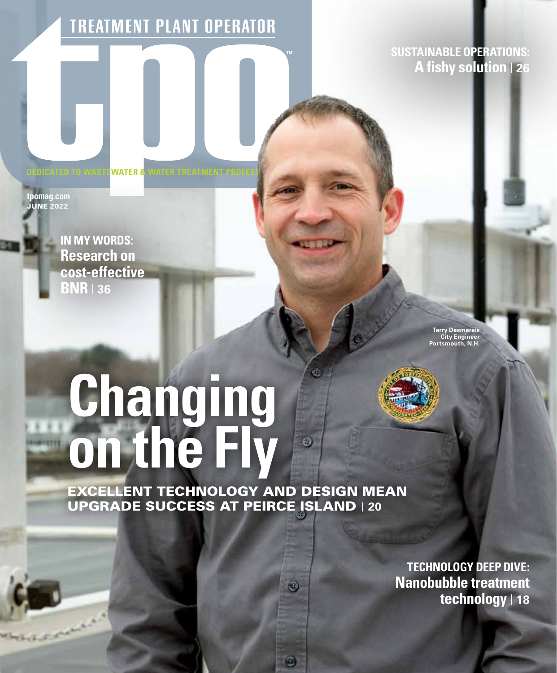**TREATMENT PLANT OPERATOR** 

**SUSTAINABLE OPERATIONS: A fishy solution** | **26**

**WATER 8** 

**tpomag.com .**<br>JUNE 2022

> **IN MY WORDS: Research on cost-effective BNR** | **36**

> > **Terry Desmarais City Engineer Portsmouth, N.H.**

# **Changing on the Fly**

EXCELLENT TECHNOLOGY AND DESIGN MEAN UPGRADE SUCCESS AT PEIRCE ISLAND | **20**

 $\odot$ 

 $\circledcirc$ 

 $\circledcirc$ 

**TECHNOLOGY DEEP DIVE: Nanobubble treatment technology** | **18**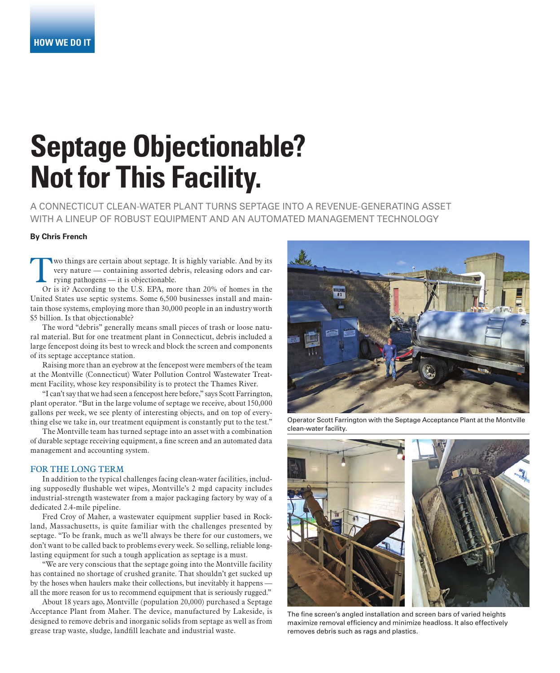# **Septage Objectionable? Not for This Facility.**

A CONNECTICUT CLEAN-WATER PLANT TURNS SEPTAGE INTO A REVENUE-GENERATING ASSET WITH A LINEUP OF ROBUST EQUIPMENT AND AN AUTOMATED MANAGEMENT TECHNOLOGY

#### **By Chris French**

wo things are certain about septage. It is highly variable. And by its very nature — containing assorted debris, releasing odors and carrying pathogens — it is objectionable.

Or is it? According to the U.S. EPA, more than 20% of homes in the United States use septic systems. Some 6,500 businesses install and maintain those systems, employing more than 30,000 people in an industry worth \$5 billion. Is that objectionable?

The word "debris" generally means small pieces of trash or loose natural material. But for one treatment plant in Connecticut, debris included a large fencepost doing its best to wreck and block the screen and components of its septage acceptance station.

Raising more than an eyebrow at the fencepost were members of the team at the Montville (Connecticut) Water Pollution Control Wastewater Treatment Facility, whose key responsibility is to protect the Thames River.

"I can't say that we had seen a fencepost here before," says Scott Farrington, plant operator. "But in the large volume of septage we receive, about 150,000 gallons per week, we see plenty of interesting objects, and on top of everything else we take in, our treatment equipment is constantly put to the test."

The Montville team has turned septage into an asset with a combination of durable septage receiving equipment, a fine screen and an automated data management and accounting system.

#### FOR THE LONG TERM

In addition to the typical challenges facing clean-water facilities, including supposedly flushable wet wipes, Montville's 2 mgd capacity includes industrial-strength wastewater from a major packaging factory by way of a dedicated 2.4-mile pipeline.

Fred Croy of Maher, a wastewater equipment supplier based in Rockland, Massachusetts, is quite familiar with the challenges presented by septage. "To be frank, much as we'll always be there for our customers, we don't want to be called back to problems every week. So selling, reliable longlasting equipment for such a tough application as septage is a must.

"We are very conscious that the septage going into the Montville facility has contained no shortage of crushed granite. That shouldn't get sucked up by the hoses when haulers make their collections, but inevitably it happens all the more reason for us to recommend equipment that is seriously rugged."

About 18 years ago, Montville (population 20,000) purchased a Septage Acceptance Plant from Maher. The device, manufactured by Lakeside, is designed to remove debris and inorganic solids from septage as well as from grease trap waste, sludge, landfill leachate and industrial waste.



Operator Scott Farrington with the Septage Acceptance Plant at the Montville clean-water facility.



The fine screen's angled installation and screen bars of varied heights maximize removal efficiency and minimize headloss. It also effectively removes debris such as rags and plastics.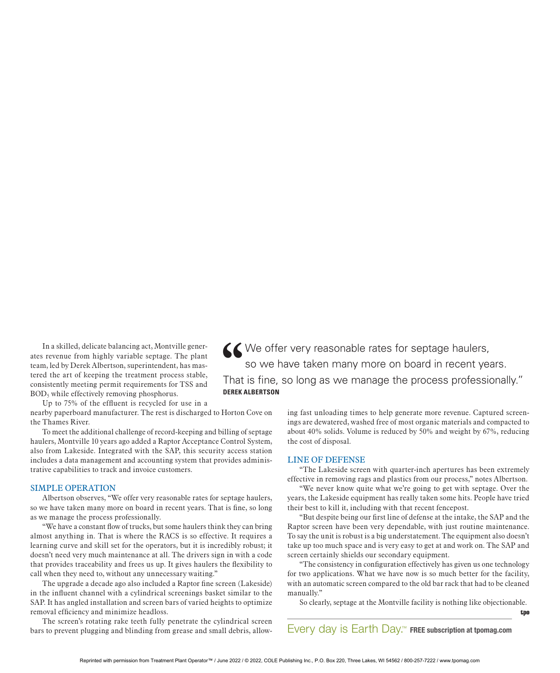In a skilled, delicate balancing act, Montville generates revenue from highly variable septage. The plant team, led by Derek Albertson, superintendent, has mastered the art of keeping the treatment process stable, consistently meeting permit requirements for TSS and BOD5 while effectively removing phosphorus.

Up to 75% of the effluent is recycled for use in a

nearby paperboard manufacturer. The rest is discharged to Horton Cove on the Thames River.

To meet the additional challenge of record-keeping and billing of septage haulers, Montville 10 years ago added a Raptor Acceptance Control System, also from Lakeside. Integrated with the SAP, this security access station includes a data management and accounting system that provides administrative capabilities to track and invoice customers.

#### SIMPLE OPERATION

Albertson observes, "We offer very reasonable rates for septage haulers, so we have taken many more on board in recent years. That is fine, so long as we manage the process professionally.

"We have a constant flow of trucks, but some haulers think they can bring almost anything in. That is where the RACS is so effective. It requires a learning curve and skill set for the operators, but it is incredibly robust; it doesn't need very much maintenance at all. The drivers sign in with a code that provides traceability and frees us up. It gives haulers the flexibility to call when they need to, without any unnecessary waiting."

The upgrade a decade ago also included a Raptor fine screen (Lakeside) in the influent channel with a cylindrical screenings basket similar to the SAP. It has angled installation and screen bars of varied heights to optimize removal efficiency and minimize headloss.

The screen's rotating rake teeth fully penetrate the cylindrical screen bars to prevent plugging and blinding from grease and small debris, allow-

**''**We offer very reasonable rates for septage haulers, so we have taken many more on board in recent years. That is fine, so long as we manage the process professionally." **DEREK ALBERTSON**

> ing fast unloading times to help generate more revenue. Captured screenings are dewatered, washed free of most organic materials and compacted to about 40% solids. Volume is reduced by 50% and weight by 67%, reducing the cost of disposal.

#### LINE OF DEFENSE

"The Lakeside screen with quarter-inch apertures has been extremely effective in removing rags and plastics from our process," notes Albertson.

"We never know quite what we're going to get with septage. Over the years, the Lakeside equipment has really taken some hits. People have tried their best to kill it, including with that recent fencepost.

"But despite being our first line of defense at the intake, the SAP and the Raptor screen have been very dependable, with just routine maintenance. To say the unit is robust is a big understatement. The equipment also doesn't take up too much space and is very easy to get at and work on. The SAP and screen certainly shields our secondary equipment.

"The consistency in configuration effectively has given us one technology for two applications. What we have now is so much better for the facility, with an automatic screen compared to the old bar rack that had to be cleaned manually."

So clearly, septage at the Montville facility is nothing like objectionable.

too

Every day is Earth Day.™ FREE subscription at tpomag.com